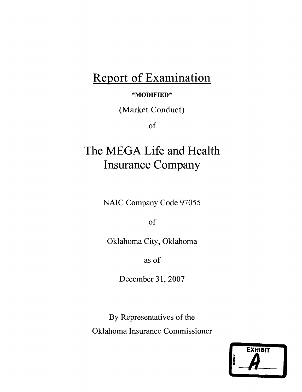# **Report of Examination**

## **\*MODIFIED\***

(Market Conduct)

of

# **The MEGA Life and Health Insurance Company**

NAIC Company Code 97055

of

Oklahoma City, Oklahoma

as of

December 31, 2007

By Representatives of the Oklahoma Insurance Commissioner

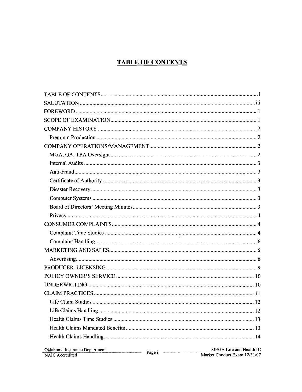## **TABLE OF CONTENTS**

|                                                         |                          | 12                                                      |
|---------------------------------------------------------|--------------------------|---------------------------------------------------------|
|                                                         |                          |                                                         |
|                                                         |                          |                                                         |
|                                                         |                          |                                                         |
| Oklahoma Insurance Department<br><b>NAIC</b> Accredited | Page $i \longrightarrow$ | MEGA Life and Health IC<br>Market Conduct Exam 12/31/07 |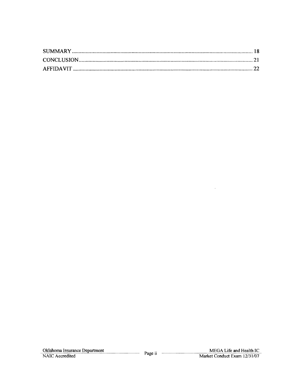$\sim 10^{-1}$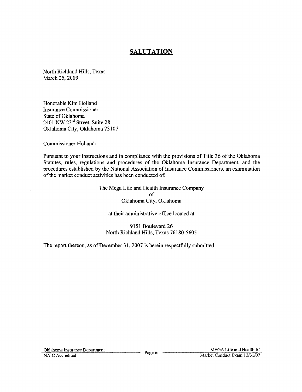## **SALUTATION**

North Richland Hills, Texas March 25, 2009

Honorable Kim Holland Insurance Commissioner State of Oklahoma 2401 NW 23<sup>rd</sup> Street, Suite 28 Oklahoma City, Oklahoma 73107

Commissioner Holland:

Pursuant to your instructions and in compliance with the provisions of Title 36 of the Oklahoma Statutes, rules, regulations and procedures of the Oklahoma Insurance Department, and the procedures established by the National Association of Insurance Commissioners, an examination of the market conduct activities has been conducted of:

> The Mega Life and Health Insurance Company of Oklahoma City, Oklahoma

at their administrative office located at

9151 Boulevard 26 North Richland Hills, Texas 76180-5605

The report thereon, as of December 31, 2007 is herein respectfully submitted.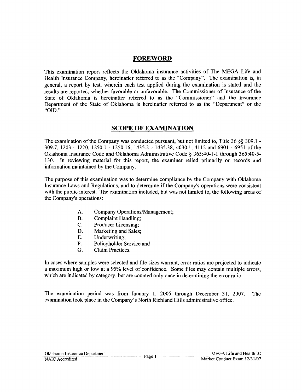## **FOREWORD**

This examination report reflects the Oklahoma insurance activities of The MEGA Life and Health Insurance Company, hereinafter referred to as the "Company". The examination is, in general, a report by test, wherein each test applied during the examination is stated and the results are reported, whether favorable or unfavorable. The Commissioner of Insurance of the State of Oklahoma is hereinafter referred to as the "Commissioner" and the Insurance Department of the State of Oklahoma is hereinafter referred to as the "Department" or the "010."

## **SCOPE OF EXAMINATION**

The examination of the Company was conducted pursuant, but not limited to, Title 36 §§ 309.1 -309.7, 1203 - 1220, 1250.1 - 1250.16, 1435.2 - 1435.38, 4030.1, 4112 and 6901 - 6951 of the Oklahoma Insurance Code and Oklahoma Administrative Code § 365:40-1-1 through 365:40-5 130. In reviewing material for this report, the examiner relied primarily on records and information maintained by the Company.

The purpose of this examination was to determine compliance by the Company with Oklahoma Insurance Laws and Regulations, and to determine if the Company's operations were consistent with the public interest. The examination included, but was not limited to, the following areas of the Company's operations:

- A. Company Operations/Management;
- B. Complaint Handling;
- C. Producer Licensing;
- D. Marketing and Sales;
- E. Underwriting;
- F. Policyholder Service and
- G. Claim Practices.

In cases where samples were selected and file sizes warrant, error ratios are projected to indicate a maximum high or low at a 95% level of confidence. Some files may contain multiple errors, which are indicated by category, but are counted only once in determining the error ratio.

The examination period was from January 1, 2005 through December 31, 2007. The examination took place in the Company's North Richland Hills administrative office.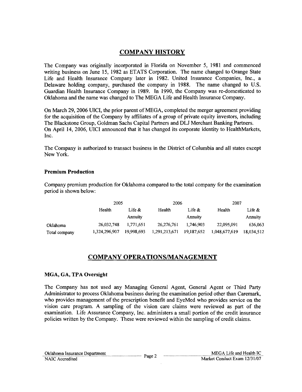## **COMPANY HISTORY**

The Company was originally incorporated in Florida on November 5, 1981 and commenced writing business on June 15, 1982 as ETATS Corporation. The name changed to Orange State Life and Health Insurance Company later in 1982. United Insurance Companies, Inc., a Delaware holding company, purchased the company in 1988. The name changed to U.S. Guardian Health Insurance Company in 1989. In 1990, the Company was re-domesticated to Oklahoma and the name was changed to The MEGA Life and Health Insurance Company.

On March 29,2006 UICI, the prior parent of MEGA, completed the merger agreement providing for the acquisition of the Company by affiliates of a group of private equity investors, including The Blackstone Group, Goldman Sachs Capital Partners and DLJ Merchant Banking Partners. On April 14, 2006, UICI announced that it has changed its corporate identity to HealthMarkets, Inc.

The Company is authorized to transact business in the District of Columbia and all states except New York.

## **Premium Production**

Company premium production for Oklahoma compared to the total company for the examination period is shown below:

|               | 2005          |            | 2006          |            | 2007          |                |
|---------------|---------------|------------|---------------|------------|---------------|----------------|
|               | Health        | Life &     | Health        | Life $\&$  |               | Life $\&$      |
|               |               | Annuity    |               | Annuity    |               | <b>Annuity</b> |
| Oklahoma      | 26,032,748    | 1.771.651  | 26,276,761    | 1.746.903  | 22.095.091    | 636,063        |
| Total company | 1,324,296,907 | 19,998,693 | 1,291,213,671 | 19,187,652 | 1,048,677,619 | 18,034,512     |

## **COMPANY OPERATIONSIMANAGEMENT**

## MGA, GA, **TP**A Oversight

The Company has not used any Managing General Agent, General Agent or Third Party Administrator to process Oklahoma business during the examination period other than Caremark, who provides management of the prescription benefit and EyeMed who provides service on the vision care program. A sampling of the vision care claims were reviewed as part of the examination. Life Assurance Company, Inc. administers a small portion of the credit insurance policies written by the Company. These were reviewed within the sampling of credit claims.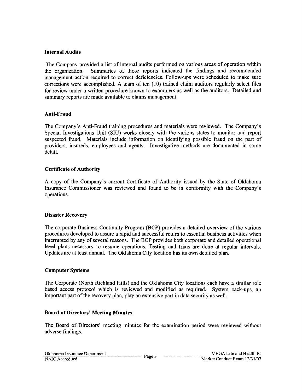## Internal Audits

The Company provided a list of internal audits performed on various areas of operation within the organization. Summaries of those reports indicated the findings and recommended management action required to correct deficiencies. Follow-ups were scheduled to make sure corrections were accomplished. A team of ten (10) trained claim auditors regularly select files for review under a written procedure known to examiners as well as the auditors. Detailed and summary reports are made available to claims management.

## Anti-Fraud

The Company's Anti-Fraud training procedures and materials were reviewed. The Company's Special Investigations Unit (SIU) works closely with the various states to monitor and report suspected fraud. Materials include information on identifying possible fraud on the part of providers, insureds, employees and agents. Investigative methods are documented in some detail.

## Certificate of Authority

A copy of the Company's current Certificate of Authority issued by the State of Oklahoma Insurance Commissioner was reviewed and found to be in conformity with the Company's operations.

#### Disaster Recovery

The corporate Business Continuity Program (BCP) provides a detailed overview of the various procedures developed to assure a rapid and successful return to essential business activities when interrupted by any of several reasons. The BCP provides both corporate and detailed operational level plans necessary to resume operations. Testing and trials are done at regular intervals. Updates are at least annual. The Oklahoma City location has its own detailed plan.

#### Computer Systems

The Corporate (North Richland Hills) and the Oklahoma City locations each have a similar role based access protocol which is reviewed and modified as required. System back-ups, an important part of the recovery plan, play an extensive part in data security as well.

#### Board of Directors' Meeting Minutes

The Board of Directors' meeting minutes for the examination period were reviewed without adverse findings.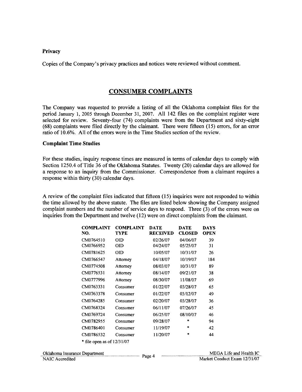#### Privacy

Copies of the Company's privacy practices and notices were reviewed without comment.

## CONSUMER COMPLAINTS

The Company was requested to provide a listing of all the Oklahoma complaint files for the period January 1, 2005 through December 31, 2007. All 142 files on the complaint register were selected for review. Seventy-four (74) complaints were from the Department and sixty-eight (68) complaints were filed directly by the claimant. There were fifteen (15) errors, for an error ratio of 10.6%. All of the errors were in the Time Studies section of the review.

#### Complaint Time Studies

For these studies, inquiry response times are measured in terms of calendar days to comply with Section 1250.4 of Title 36 of the Oklahoma Statutes. Twenty (20) calendar days are allowed for a response to an inquiry from the Commissioner. Correspondence from a claimant requires a response within thirty (30) calendar days.

A review of the complaint files indicated that fifteen (15) inquiries were not responded to within the time allowed by the above statute. The files are listed below showing the Company assigned complaint numbers and the number of service days to respond. Three (3) of the errors were on inquiries from the Department and twelve (12) were on direct complaints from the claimant.

|                               | <b>COMPLAINT</b><br>NO.      | <b>COMPLAINT</b><br><b>TYPE</b> | DATE<br><b>RECEIVED</b> | <b>DATE</b><br><b>CLOSED</b> | <b>DAYS</b><br><b>OPEN</b> |
|-------------------------------|------------------------------|---------------------------------|-------------------------|------------------------------|----------------------------|
|                               | CM0764510                    | <b>OID</b>                      | 02/26/07                | 04/06/07                     | 39                         |
|                               | CM0766952                    | OID                             | 04/24/07                | 05/25/07                     | 31                         |
|                               | CM0781625                    | OID                             | 10/05/07                | 10/31/07                     | 26                         |
|                               | CM0766547                    | Attorney                        | 04/18/07                | 10/19/07                     | 184                        |
|                               | CM0774508                    | Attorney                        | 08/03/07                | 10/31/07                     | 89                         |
|                               | CM0776531                    | Attorney                        | 08/14/07                | 09/21/07                     | 38                         |
|                               | CM0777996                    | Attorney                        | 08/30/07                | 11/08/07                     | 69                         |
|                               | CM0763331                    | Consumer                        | 01/22/07                | 03/28/07                     | 65                         |
|                               | CM0763378                    | Consumer                        | 01/22/07                | 03/12/07                     | 49                         |
|                               | CM0764285                    | Consumer                        | 02/20/07                | 03/28/07                     | 36                         |
|                               | CM0768324                    | Consumer                        | 06/11/07                | 07/26/07                     | 45                         |
|                               | CM0769724                    | Consumer                        | 06/25/07                | 08/10/07                     | 46                         |
|                               | CM0782955                    | Consumer                        | 09/28/07                | *                            | 94                         |
|                               | CM0786401                    | Consumer                        | 11/19/07                | *                            | 42                         |
|                               | CM0786532                    | Consumer                        | 11/20/07                | $\mathbf{r}$                 | 44                         |
|                               | * file open as of $12/31/07$ |                                 |                         |                              |                            |
| Oklahoma Insurance Department |                              |                                 |                         |                              | <b>MEGA</b>                |
| NAIC Accredited               |                              |                                 | Page 4                  |                              | Market Con                 |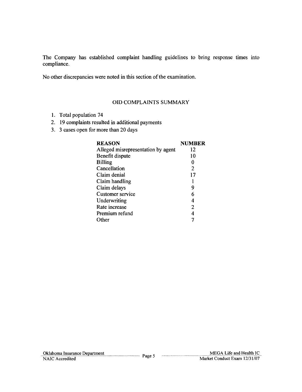The Company has established complaint handling guidelines to bring response times into compliance.

No other discrepancies were noted in this section of the examination.

## OlD COMPLAINTS SUMMARY

- 1. Total population 74
- 2. 19 complaints resulted in additional payments
- 3. 3 cases open for more than 20 days

| <b>REASON</b>                      | <b>NUMBER</b> |
|------------------------------------|---------------|
| Alleged misrepresentation by agent | 12            |
| Benefit dispute                    | 10            |
| <b>Billing</b>                     | 0             |
| Cancellation                       | 2             |
| Claim denial                       | 17            |
| Claim handling                     |               |
| Claim delays                       | 9             |
| Customer service                   | 6             |
| Underwriting                       | 4             |
| Rate increase                      | 2             |
| Premium refund                     | 4             |
| ther)                              |               |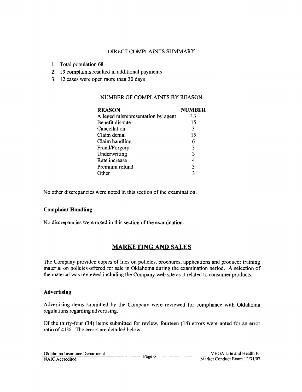## DIRECT COMPLAINTS SUMMARY

- 1. Total population 68
- 2. 19 complaints resulted in additional payments
- 3. 12 cases were open more than 30 days

## NUMBER OF COMPLAINTS BY REASON

| <b>REASON</b>                      | <b>NUMBER</b> |
|------------------------------------|---------------|
| Alleged misrepresentation by agent | 13            |
| Benefit dispute                    | 15            |
| Cancellation                       | 3             |
| Claim denial                       | 15            |
| Claim handling                     | 6             |
| Fraud/Forgery                      | 3             |
| Underwriting                       | 3             |
| Rate increase                      | 4             |
| Premium refund                     | 3             |
| Other                              | ٦             |

No other discrepancies were noted in this section of the examination.

## Complaint Handling

No discrepancies were noted in this section of the examination.

## MARKETING AND SALES

The Company provided copies of files on policies, brochures, applications and producer training material on policies offered for sale in Oklahoma during the examination period. A selection of the material was reviewed including the Company web site as it related to consumer products.

## Advertising

Advertising items submitted by the Company were reviewed for compliance with Oklahoma regulations regarding advertising.

Of the thirty-four (34) items submitted for review, fourteen (14) errors were noted for an error ratio of 41%. The errors are detailed below.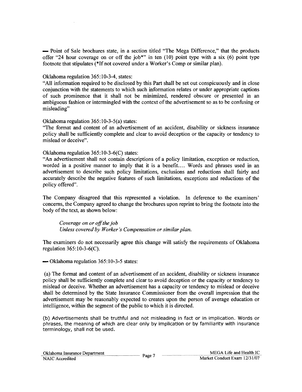- Point of Sale brochures state, in a section titled "The Mega Difference," that the products offer "24 hour coverage on or off the job\*" in ten (10) point type with a six (6) point type footnote that stipulates (\*If not covered under a Worker's Comp or similar plan).

## Oklahoma regulation 365: 10-3-4, states:

"All information required to be disclosed by this Part shall be set out conspicuously and in close conjunction with the statements to which such information relates or under appropriate captions of such prominence that it shall not be minimized, rendered obscure or presented in an ambiguous fashion or intermingled with the context of the advertisement so as to be confusing or misleading"

## Oklahoma regulation 365: 10-3-5(a) states:

"The format and content of an advertisement of an accident, disability or sickness insurance policy shall be sufficiently complete and clear to avoid deception or the capacity or tendency to mislead or deceive".

## Oklahoma regulation 365:1O-3-6(C) states:

"An advertisement shall not contain descriptions of a policy limitation, exception or reduction, worded in a positive manner to imply that it is a benefit.... Words and phrases used in an advertisement to describe such policy limitations, exclusions and reductions shall fairly and accurately describe the negative features of such limitations, exceptions and reductions of the policy offered".

The Company disagreed that this represented a violation. In deference to the examiners' concerns, the Company agreed to change the brochures upon reprint to bring the footnote into the body of the text, as shown below:

Coverage on or off the job *Unless covered by Worker's Compensation or similar plan.* 

The examiners do not necessarily agree this change will satisfy the requirements of Oklahoma regulation 365: 10-3-6(C).

 $\rightarrow$  Oklahoma regulation 365:10-3-5 states:

(a) The format and content of an advertisement of an accident, disability or sickness insurance policy shall be sufficiently complete and clear to avoid deception or the capacity or tendency to mislead or deceive. Whether an advertisement has a capacity or tendency to mislead or deceive shall be determined by the State Insurance Commissioner from the overall impression that the advertisement may be reasonably expected to creates upon the person of average education or intelligence, within the segment of the public to which it is directed.

(b) Advertisements shall be truthful and not misleading in fact or in implication. Words or phrases, the meaning of which are clear only by implication or by familiarity with insurance terminology, shall not be used.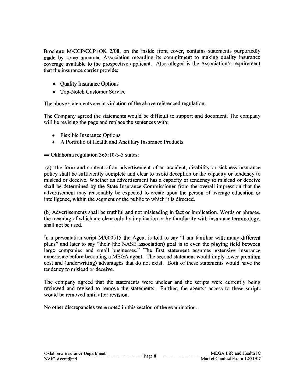Brochure *MJCCP/CCP+OK 2/08,* on the inside front cover, contains statements purportedly made by some unnamed Association regarding its commitment to making quality insurance coverage available to the prospective applicant. Also alleged is the Association's requirement that the insurance carrier provide:

- Ouality Insurance Options
- Top-Notch Customer Service

The above statements are in violation of the above referenced regulation.

The Company agreed the statements would be difficult to support and document. The company will be revising the page and replace the sentences with:

- Flexible Insurance Options
- A Portfolio of Health and Ancillary Insurance Products

 $\sim$  Oklahoma regulation 365:10-3-5 states:

(a) The form and content of an advertisement of an accident, disability or sickness insurance policy shall be sufficiently complete and clear to avoid deception or the capacity or tendency to mislead or deceive. Whether an advertisement has a capacity or tendency to mislead or deceive shall be determined by the State Insurance Commissioner from the overall impression that the advertisement may reasonably be expected to create upon the person of average education or intelligence, within the segment of the public to which it is directed.

(b) Advertisements shall be truthful and not misleading in fact or implication. Words or phrases, the meaning of which are clear only by implication or by familiarity with insurance terminology, shall not be used.

In a presentation script M/000515 the Agent is told to say "I am familiar with many different plans" and later to say "their (the NASE association) goal is to even the playing field between large companies and small businesses." The first statement assumes extensive insurance experience before becoming a MEGA agent. The second statement would imply lower premium cost and (underwriting) advantages that do not exist. Both of these statements would have the tendency to mislead or deceive.

The company agreed that the statements were unclear and the scripts were currently being reviewed and revised to remove the statements. Further, the agents' access to these scripts would be removed until after revision.

No other discrepancies were noted in this section of the examination.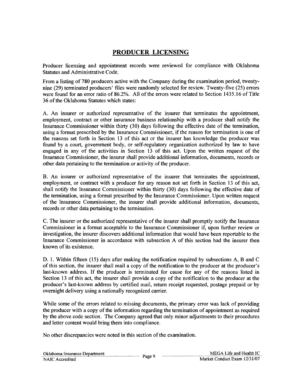## **PRODUCER LICENSING**

Producer licensing and appointment records were reviewed for compliance with Oklahoma Statutes and Administrative Code.

From a listing of 780 producers active with the Company during the examination period, twentynine (29) terminated producers' files were randomly selected for review. Twenty-five (25) errors were found for an error ratio of 86.2%. All of the errors were related to Section 1435.16 of Title 36 of the Oklahoma Statutes which states:

A. An insurer or authorized representative of the insurer that terminates the appointment, employment, contract or other insurance business relationship with a producer shall notify the Insurance Commissioner within thirty (30) days following the effective date of the termination, using a format prescribed by the Insurance Commissioner, if the reason for termination is one of the reasons set forth in Section 13 of this act or the insurer has knowledge the producer was found by a court, government body, or self-regulatory organization authorized by law to have engaged in any of the activities in Section 13 of this act. Upon the written request of the Insurance Commissioner, the insurer shall provide additional information, documents, records or other data pertaining to the termination or activity of the producer.

B. An insurer or authorized representative of the insurer that terminates the appointment, employment, or contract with a producer for any reason not set forth in Section 13 of this act, shall notify the Insurance Commissioner within thirty (30) days following the effective date of the termination, using a format prescribed by the Insurance Commissioner. Upon written request of the Insurance Commissioner, the insurer shall provide additional information, documents, records or other data pertaining to the termination.

C. The insurer or the authorized representative of the insurer shall promptly notify the Insurance Commissioner in a format acceptable to the Insurance Commissioner if, upon further review or investigation, the insurer discovers additional information that would have been reportable to the Insurance Commissioner in accordance with subsection A of this section had the insurer then known of its existence.

D. 1. Within fifteen (15) days after making the notification required by subsections A, Band C of this section, the insurer shall mail a copy of the notification to the producer at the producer's last-known address. If the producer is terminated for cause for any of the reasons listed in Section 13 of this act, the insurer shall provide a copy of the notification to the producer at the producer's last-known address by certified mail, return receipt requested, postage prepaid or by overnight delivery using a nationally recognized carrier.

While some of the errors related to missing documents, the primary error was lack of providing the producer with a copy of the information regarding the termination of appointment as required by the above code section. The Company agreed that only minor adjustments to their procedures and letter content would bring them into compliance.

No other discrepancies were noted in this section of the examination.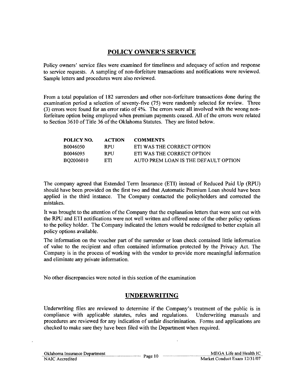## **POLICY** OWNER'S SERVICE

Policy owners' service files were examined for timeliness and adequacy of action and response to service requests. A sampling of non-forfeiture transactions and notifications were reviewed. Sample letters and procedures were also reviewed.

From a total population of 182 surrenders and other non-forfeiture transactions done during the examination period a selection of seventy-five (75) were randomly selected for review. Three (3) errors were found for an error ratio of 4%. The errors were all involved with the wrong nonforfeiture option being employed when premium payments ceased. All of the errors were related to Section 3610 of Title 36 of the Oklahoma Statutes. They are listed below.

| <b>ACTION</b> | <b>COMMENTS</b>                      |
|---------------|--------------------------------------|
| <b>RPII</b>   | ETI WAS THE CORRECT OPTION           |
| <b>RPII</b>   | ETI WAS THE CORRECT OPTION           |
| ETL           | AUTO PREM LOAN IS THE DEFAULT OPTION |
|               |                                      |

The company agreed that Extended Term Insurance (ETI) instead of Reduced Paid Up (RPU) should have been provided on the first two and that Automatic Premium Loan should have been applied in the third instance. The Company contacted the policyholders and corrected the mistakes.

It was brought to the attention of the Company that the explanation letters that were sent out with the RPU and ETI notifications were not well written and offered none of the other policy options to the policy holder. The Company indicated the letters would be redesigned to better explain all policy options available.

The information on the voucher part of the surrender or loan check contained little information of value to the recipient and often contained information protected by the Privacy Act. The Company is in the process of working with the vendor to provide more meaningful information and eliminate any private information.

No other discrepancies were noted in this section of the examination

## **UNDERWRITING**

Underwriting files are reviewed to determine if the Company's treatment of the public is in compliance with applicable statutes, rules and regulations. Underwriting manuals and procedures are reviewed for any indication of unfair discrimination. Forms and applications are checked to make sure they have been filed with the Department when required.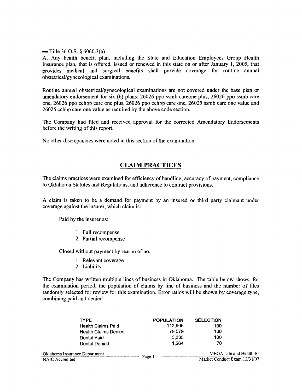$-$  Title 36 O.S. § 6060.3(a)

A. Any health benefit plan, including the State and Education Employees Group Health Insurance plan, that is offered, issued or renewed in this state on or after January 1, 2005, that provides medical and surgical benefits shall provide coverage for routine annual obstetrical/gynecological examinations.

Routine annual obstetrical/gynecological examinations are not covered under the base plan or amendatory endorsement for six (6) plans: 26026 ppo ssmb careone plus, 26026 ppo ssmb care one, 26026 ppo cchbp care one plus, 26026 ppo cchbp care one, 26025 ssmb care one value and 26025 cchbp care one value as required by the above code section.

The Company had filed and received approval for the corrected Amendatory Endorsements before the writing of this report.

No other discrepancies were noted in this section of the examination.

## **CLAIM PRACTICES**

The claims practices were examined for efficiency of handling, accuracy of payment, compliance to Oklahoma Statutes and Regulations, and adherence to contract provisions.

A claim is taken to be a demand for payment by an insured or third party claimant under coverage against the insurer, which claim is:

Paid by the insurer as:

- I. Full recompense
- 2. Partial recompense

Closed without payment by reason of no:

- 1. Relevant coverage
- 2. Liability

The Company has written multiple lines of business in Oklahoma. The table below shows, for the examination period, the population of claims by line of business and the number of files randomly selected for review for this examination. Error ratios will be shown by coverage type, combining paid and denied.

| <b>TYPE</b>                   | <b>POPULATION</b> | <b>SELECTION</b>             |
|-------------------------------|-------------------|------------------------------|
| <b>Health Claims Paid</b>     | 112,905           | 100                          |
| <b>Health Claims Denied</b>   | 79,579            | 100                          |
| Dental Paid                   | 5.335             | 100                          |
| Dental Denied                 | 1.264             | 70                           |
| Oklahoma Insurance Department |                   | MEGA Life and Health IC      |
| NAIC Accredited               | Page 11           | Market Conduct Exam 12/31/07 |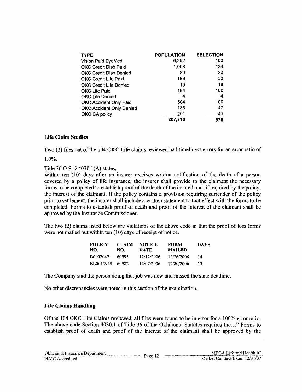| <b>TYPE</b>                     | <b>POPULATION</b> | <b>SELECTION</b> |
|---------------------------------|-------------------|------------------|
| Vision Paid EyeMed              | 6,262             | 100              |
| <b>OKC Credit Disb Paid</b>     | 1,008             | 124              |
| <b>OKC Credit Disb Denied</b>   | 20                | 20               |
| <b>OKC Credit Life Paid</b>     | 199               | 50               |
| <b>OKC Credit Life Denied</b>   | 19                | 19               |
| OKC Life Paid                   | 194               | 100              |
| <b>OKC Life Denied</b>          | 4                 | 4                |
| <b>OKC Accident Only Paid</b>   | 504               | 100              |
| <b>OKC Accident Only Denied</b> | 136               | 47               |
| OKC CA policy                   | 201               | 41               |
|                                 | 207,718           | 975              |

## Life Claim Studies

Two (2) files out of the 104 OKC Life claims reviewed had timeliness errors for an error ratio of 1.9%.

Title 36 O.S. § 4030.1(A) states,

Within ten (l0) days after an insurer receives written notification of the death of a person covered by a policy of life insurance, the insurer shall provide to the claimant the necessary forms to be completed to establish proof of the death of the insured and, if required by the policy, the interest of the claimant. If the policy contains a provision requiring surrender of the policy prior to settlement, the insurer shall include a written statement to that effect with the forms to be completed. Forms to establish proof of death and proof of the interest of the claimant shall be approved by the Insurance Commissioner.

The two (2) claims listed below are violations of the above code in that the proof of loss forms were not mailed out within ten (10) days of receipt of notice.

| <b>POLICY</b><br>NO. | <b>CLAIM</b><br>NO. | <b>NOTICE</b><br>DATE | <b>FORM</b><br><b>MAILED</b> | <b>DAYS</b> |
|----------------------|---------------------|-----------------------|------------------------------|-------------|
| B0002047             | 60995               | 12/12/2006            | 12/26/2006                   | 14          |
| BL0013949            | 60982               | 12/07/2006            | 12/20/2006                   | 13          |

The Company said the person doing that job was new and missed the state deadline.

No other discrepancies were noted in this section of the examination.

## Life Claims Handling

Of the 104 OKC Life Claims reviewed, all files were found to be in error for a 100% error ratio. The above code Section 4030.1 of Title 36 of the Oklahoma Statutes requires the..." Forms to establish proof of death and proof of the interest of the claimant shall be approved by the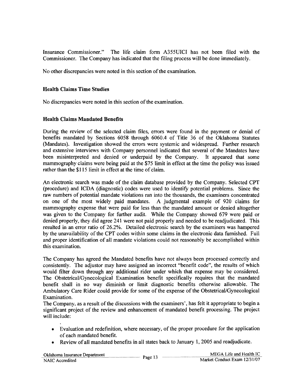Insurance Commissioner." The life claim fonn A355UICI has not been filed with the Commissioner. The Company has indicated that the filing process will be done immediately.

No other discrepancies were noted in this section of the examination.

## **Health Claims Time Studies**

No discrepancies were noted in this section of the examination.

## **Health Claims Mandated Benefits**

During the review of the selected claim files, errors were found in the payment or denial of benefits mandated by Sections 6058 through 6060.4 of Title 36 of the Oklahoma Statutes (Mandates). Investigation showed the errors were systemic and widespread. Further research and extensive interviews with Company personnel indicated that several of the Mandates have been misinterpreted and denied or underpaid by the Company. It appeared that some mammography claims were being paid at the \$75 limit in effect at the time the policy was issued rather than the \$115 limit in effect at the time of claim.

An electronic search was made of the claim database provided by the Company. Selected CPT (procedure) and ICDA (diagnostic) codes were used to identify potential problems. Since the raw numbers of potential mandate violations ran into the thousands, the examiners concentrated<br>on one of the most widely paid mandates. A judgmental example of 920 claims for on one of the most widely paid mandates. mammography expense that were paid for less than the mandated amount or denied altogether was given to the Company for further audit. While the Company showed 679 were paid or denied properly, they did agree 241 were not paid properly and needed to be readjudicated. This resulted in an error ratio of 26.2%. Detailed electronic search by the examiners was hampered by the unavailability of the CPT codes within some claims in the electronic data furnished. Full and proper identification of all mandate violations could not reasonably be accomplished within this examination.

The Company has agreed the Mandated benefits have not always been processed correctly and consistently. The adjustor may have assigned an incorrect "benefit code", the results of which would filter down through any additional rider under which that expense may be considered. The Obstetrical/Gynecological Examination benefit specifically requires that the mandated benefit shall in no way diminish or limit diagnostic benefits otherwise allowable. The Ambulatory Care Rider could provide for some of the expense of the Obstetrical/Gynecological Examination.

The Company, as a result of the discussions with the examiners', has felt it appropriate to begin a significant project of the review and enhancement of mandated benefit processing. The project will include:

- Evaluation and redefinition, where necessary, of the proper procedure for the application of each mandated benefit.
- Review of all mandated benefits in all states back to January 1, 2005 and readjudicate.

| Oklahoma Insurance Department |         | MEGA Life and Health IC      |
|-------------------------------|---------|------------------------------|
| NAIC Accredited               | Page 13 | Market Conduct Exam 12/31/07 |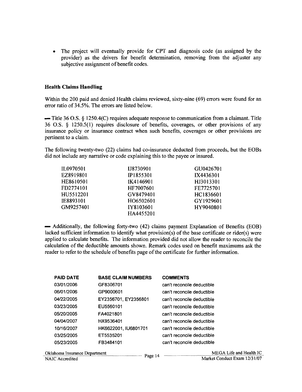• The project will eventually provide for CPT and diagnosis code (as assigned by the provider) as the drivers for benefit determination, removing from the adjuster any subjective assignment of benefit codes.

## **Health Claims Handling**

Within the 200 paid and denied Health claims reviewed, sixty-nine (69) errors were found for an error ratio of 34.5%. The errors are listed below.

 $-$  Title 36 O.S. § 1250.4(C) requires adequate response to communication from a claimant. Title 36 O.S. § 1250.5(1) requires disclosure of benefits, coverages, or other provisions of any insurance policy or insurance contract when such benefits, coverages or other provisions are pertinent to a claim.

The following twenty-two (22) claims had co-insurance deducted from proceeds, but the EOBs did not include any narrative or code explaining this to the payee or insured.

| IL0970501 | IJ8730901 | GU0426701 |
|-----------|-----------|-----------|
| EZ8919801 | IP1855301 | IX4436301 |
| HE8610501 | IK4146901 | HJ3013301 |
| FD2774101 | HF7007601 | FE7725701 |
| HU5512201 | GV8479401 | HC1836601 |
| IE8893101 | HO6502601 | GY1929601 |
| GM9257401 | IY8103601 | HY9040801 |
|           | HA4455201 |           |

- Additionally, the following forty-two (42) claims payment Explanation of Benefits (EOB) lacked sufficient information to identify what provision(s) of the base certificate or rider(s) were applied to calculate benefits. The information provided did not allow the reader to reconcile the calculation of the deductible amounts shown. Remark codes used on benefit maximums ask the reader to refer to the schedule of benefits page of the certificate for further information.

| <b>PAID DATE</b> | <b>BASE CLAIM NUMBERS</b> | <b>COMMENTS</b>            |
|------------------|---------------------------|----------------------------|
| 03/01/2006       | GF8306701                 | can't reconcile deductible |
| 06/01/2006       | GP9000601                 | can't reconcile deductible |
| 04/22/2005       | EY2356701, EY2356801      | can't reconcile deductible |
| 03/23/2005       | EU5560101                 | can't reconcile deductible |
| 05/20/2005       | FA4021801                 | can't reconcile deductible |
| 04/04/2007       | HX9536401                 | can't reconcile deductible |
| 10/16/2007       | HK6622001, IU6801701      | can't reconcile deductible |
| 03/25/2005       | ET5535201                 | can't reconcile deductible |
| 05/23/2005       | FB3484101                 | can't reconcile deductible |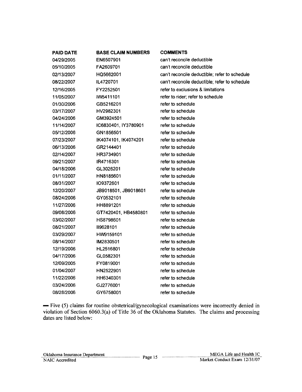| <b>PAID DATE</b> | <b>BASE CLAIM NUMBERS</b> | <b>COMMENTS</b>                               |
|------------------|---------------------------|-----------------------------------------------|
| 04/29/2005       | EN6507901                 | can't reconcile deductible                    |
| 05/10/2005       | FA2609701                 | can't reconcile deductible                    |
| 02/13/2007       | HQ5662001                 | can't reconcile deductible; refer to schedule |
| 08/22/2007       | IL4720701                 | can't reconcile deductible; refer to schedule |
| 12/16/2005       | FY2252501                 | refer to exclusions & limitations             |
| 11/05/2007       | IW5411101                 | refer to rider; refer to schedule             |
| 01/30/2006       | GB5216201                 | refer to schedule                             |
| 03/17/2007       | HV2982301                 | refer to schedule                             |
| 04/24/2006       | GM3924501                 | refer to schedule                             |
| 11/14/2007       | IC6830401, IY3780901      | refer to schedule                             |
| 05/12/2006       | GN1856501                 | refer to schedule                             |
| 07/23/2007       | IK4074101, IK4074201      | refer to schedule                             |
| 06/13/2006       | GR2144401                 | refer to schedule                             |
| 02/14/2007       | HR3734901                 | refer to schedule                             |
| 09/21/2007       | IR4716301                 | refer to schedule                             |
| 04/18/2006       | GL3026201                 | refer to schedule                             |
| 01/11/2007       | HN8185601                 | refer to schedule                             |
| 08/31/2007       | 109372601                 | refer to schedule                             |
| 12/20/2007       | JB9018501, JB9018601      | refer to schedule                             |
| 08/24/2006       | GY0532101                 | refer to schedule                             |
| 11/27/2006       | HH8891201                 | refer to schedule                             |
| 09/08/2006       | GT7420401, HB4580801      | refer to schedule                             |
| 03/02/2007       | HS8798601                 | refer to schedule                             |
| 08/21/2007       | II9628101                 | refer to schedule                             |
| 03/29/2007       | HW9159101                 | refer to schedule                             |
| 08/14/2007       | IM2830501                 | refer to schedule                             |
| 12/19/2006       | HL2516801                 | refer to schedule                             |
| 04/17/2006       | GL0582301                 | refer to schedule                             |
| 12/09/2005       | FY0819001                 | refer to schedule                             |
| 01/04/2007       | HN2522901                 | refer to schedule                             |
| 11/22/2006       | HH6340301                 | refer to schedule                             |
| 03/24/2006       | GJ2776001                 | refer to schedule                             |
| 08/28/2006       | GY6758001                 | refer to schedule                             |

- Five (5) claims for routine obstetrical/gynecological examinations were incorrectly denied in violation of Section 6060.3(a) of Title 36 of the Oklahoma Statutes. The claims and processing dates are listed below: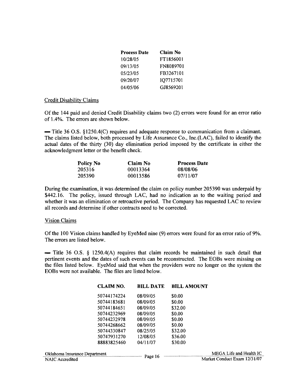| <b>Process Date</b> | Claim No  |
|---------------------|-----------|
| 10/28/05            | FT1856001 |
| 09/13/05            | FN8089701 |
| 05/23/05            | FB3267101 |
| 09/20/07            | IQ7715701 |
| 04/05/06            | GJ8569201 |

#### Credit Disability Claims

Of the 144 paid and denied Credit Disability claims two (2) errors were found for an error ratio of 1.4%. The errors are shown below.

 $-$  Title 36 O.S. §1250.4(C) requires and adequate response to communication from a claimant. The claims listed below, both processed by Life Assurance Co., Inc.(LAC), failed to identify the actual dates of the thirty (30) day elimination period imposed by the certificate in either the acknowledgment letter or the benefit check.

| <b>Policy No</b> | Claim No | <b>Process Date</b> |
|------------------|----------|---------------------|
| 205316           | 00013364 | 08/08/06            |
| 205390           | 00013586 | 07/11/07            |

During the examination, it was determined the claim on policy number 205390 was underpaid by \$442.16. The policy, issued through LAC, had no indication as to the waiting period and whether it was an elimination or retroactive period. The Company has requested LAC to review all records and determine if other contracts need to be corrected.

## Vision Claims

Of the 100 Vision claims handled by EyeMed nine (9) errors were found for an error ratio of 9%. The errors are listed below.

 $-$  Title 36 O.S. § 1250.4(A) requires that claim records be maintained in such detail that pertinent events and the dates of such events can be reconstructed. The EOBs were missing on the files listed below. EyeMed said that when the providers were no longer on the system the EOBs were not available. The files are listed below.

| <b>CLAIM NO.</b>              | <b>BILL DATE</b> | <b>BILL AMOUNT</b>           |
|-------------------------------|------------------|------------------------------|
| 50744174224                   | 08/09/05         | \$0.00                       |
| 50744183681                   | 08/09/05         | \$0.00                       |
| 50744184651                   | 08/09/05         | \$32.00                      |
| 50744232969                   | 08/09/05         | \$0.00                       |
| 50744232978                   | 08/09/05         | \$0.00                       |
| 50744268662                   | 08/09/05         | \$0.00                       |
| 50744330847                   | 08/25/05         | \$32.00                      |
| 50747931270                   | 12/08/05         | \$36.00                      |
| 88883825460                   | 04/11/07         | \$30.00                      |
| Oklahoma Insurance Department |                  | MEGA Life and Health IC      |
| NAIC Accredited               | Page 16          | Market Conduct Exam 12/31/07 |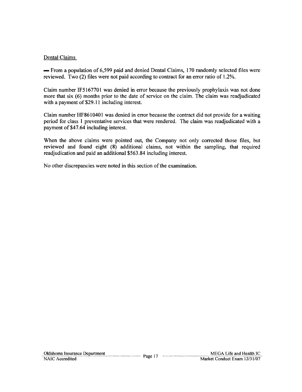## Dental Claims

- From a population of 6,599 paid and denied Dental Claims, 170 randomly selected files were reviewed. Two (2) files were not paid according to contract for an error ratio of 1.2%.

Claim number IF5167701 was denied in error because the previously prophylaxis was not done more that six (6) months prior to the date of service on the claim. The claim was readjudicated with a payment of \$29.11 including interest.

Claim number HF8610401 was denied in error because the contract did not provide for a waiting period for class I preventative services that were rendered. The claim was readjudicated with a payment of \$47.64 including interest.

When the above claims were pointed out, the Company not only corrected those files, but reviewed and found eight (8) additional claims, not within the sampling, that required readjudication and paid an additional \$563.84 including interest.

No other discrepancies were noted in this section of the examination.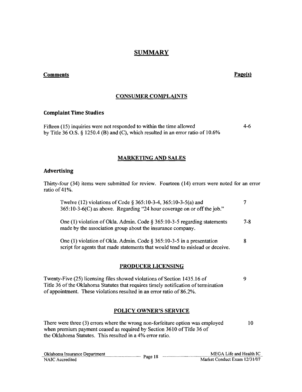## **SUMMARY**

## **Comments** Page(s)

## CONSUMER COMPLAINTS

#### Complaint Time Studies

Fifteen (15) inquiries were not responded to within the time allowed 4-6 by Title 36 O.S. § 1250.4 (B) and (C), which resulted in an error ratio of 10.6%

## MARKETING AND SALES

#### Advertising

Thirty-four (34) items were submitted for review. Fourteen (14) errors were noted for an error ratio of 41%.

| Twelve (12) violations of Code § 365:10-3-4, 365:10-3-5(a) and<br>365:10-3-6(C) as above. Regarding "24 hour coverage on or off the job."                 |         |
|-----------------------------------------------------------------------------------------------------------------------------------------------------------|---------|
| One (1) violation of Okla. Admin. Code $\S 365:10-3-5$ regarding statements<br>made by the association group about the insurance company.                 | $7 - 8$ |
| One (1) violation of Okla. Admin. Code $\S 365:10-3-5$ in a presentation<br>script for agents that made statements that would tend to mislead or deceive. |         |
| <b>PRODUCER LICENSING</b>                                                                                                                                 |         |

# Twenty-Five (25) licensing files showed violations of Section 1435.16 of 9

Title 36 of the Oklahoma Statutes that requires timely notification of termination of appointment. These violations resulted in an error ratio of 86.2%.

## POLICY OWNER'S SERVICE

There were three (3) errors where the wrong non-forfeiture option was employed when premium payment ceased as required by Section 3610 of Title 36 of the Oklahoma Statutes. This resulted in a 4% error ratio. 10

| Oklahoma Insurance Department |         | MEGA Life and Health IC      |
|-------------------------------|---------|------------------------------|
| NAIC Accredited               | Page 18 | Market Conduct Exam 12/31/07 |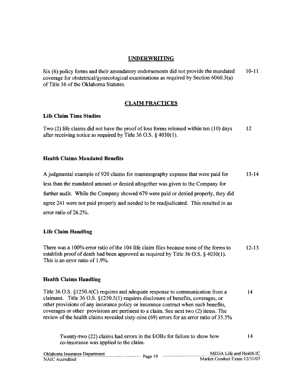## UNDERWRITING

Six (6) policy forms and their amendatory endorsements did not provide the mandated coverage for obstetrical/gynecological examinations as required by Section 6060.3(a) of Title 36 of the Oklahoma Statutes. 10-11

## CLAIM PRACTICES

## Life Claim Time Studies

Two (2) life claims did not have the proof of loss forms released within ten (10) days after receiving notice as required by Title 36 O.S. § 4030(1). 12

## Health Claims Mandated Benefits

A judgmental example of920 claims for mammography expense that were paid for less than the mandated amount or denied altogether was given to the Company for further audit. While the Company showed 679 were paid or denied properly, they did agree 241 were not paid properly and needed to be readjudicated. This resulted in an error ratio of 26.2%. 13-14

## Life Claim Handling

There was a 100% error ratio of the 104 life claim files because none of the forms to establish proof of death had been approved as required by Title 36 O.S. § 4030(1). This is an error ratio of 1.9%. 12-13

## Health Claims Handling

Title 36 O.S. §1250.4(C) requires and adequate response to communication from a claimant. Title 36 O.S. §1250.5(1) requires disclosure of benefits, coverages, or other provisions of any insurance policy or insurance contract when such benefits, coverages or other provisions are pertinent to a claim. See next two (2) items. The review of the health claims revealed sixty-nine (69) errors for an error ratio of 35.5% 14

| Twenty-two (22) claims had errors in the EOBs for failure to show how |  |
|-----------------------------------------------------------------------|--|
| co-insurance was applied to the claim.                                |  |

| Oklahoma Insurance Department |         | MEGA Life and Health IC      |
|-------------------------------|---------|------------------------------|
| NAIC Accredited               | Page 19 | Market Conduct Exam 12/31/07 |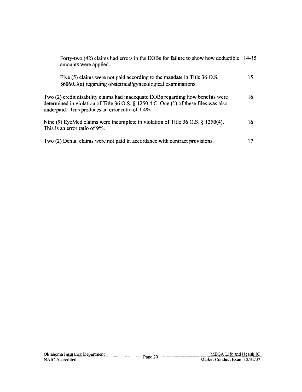| Forty-two (42) claims had errors in the EOBs for failure to show how deductible 14-15<br>amounts were applied.                                                                                                                 |    |
|--------------------------------------------------------------------------------------------------------------------------------------------------------------------------------------------------------------------------------|----|
| Five $(5)$ claims were not paid according to the mandate in Title 36 O.S.<br>§6060.3(a) regarding obstetrical/gynecological examinations.                                                                                      | 15 |
| Two (2) credit disability claims had inadequate EOBs regarding how benefits were<br>determined in violation of Title 36 O.S. $\S$ 1250.4 C. One (1) of these files was also<br>underpaid. This produces an error ratio of 1.4% | 16 |
| Nine (9) EyeMed claims were incomplete in violation of Title 36 O.S. § 1250(4).<br>This is an error ratio of 9%.                                                                                                               | 16 |
| Two (2) Dental claims were not paid in accordance with contract provisions.                                                                                                                                                    | 17 |

 $\sim$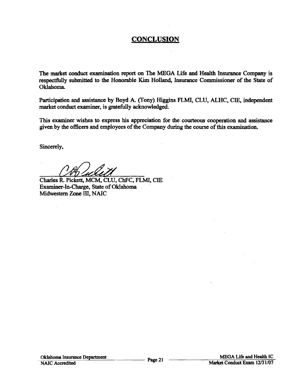## **CONCLUSION**

The market conduct examination report on The MEGA Life and Health Insurance Company is respectfully submitted to the Honorable Kim Holland, Insurance Commissioner of the State of Oklahoma.

Participation and assistance by Boyd A. (Tony) Higgins FLML CLU, ALHC, CIE, independent market conduct examiner, is gratefully acknowledged.

This examiner wishes to express his appreciation for the courteous cooperation and assistance given by the officers and employees of the Company during the course of this examination.

Sincerely,

Charles R. Pickett, MCM, CLU, ChFC, FLMI, CIE Examiner-In-Charge, State of Oklahoma Midwestern Zone III, NAIC